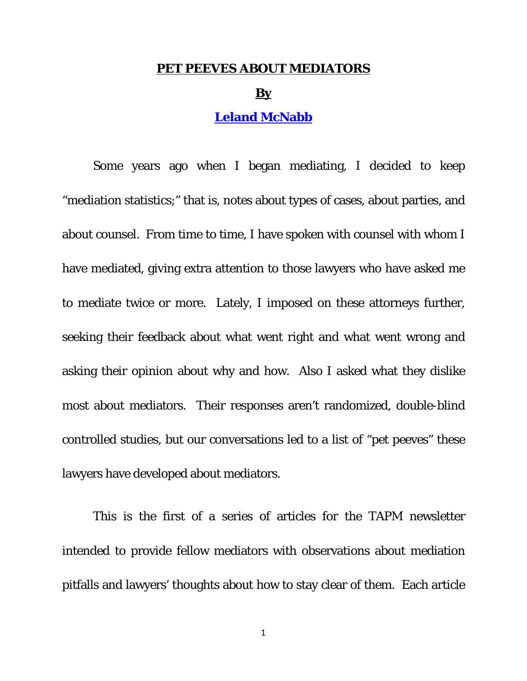#### **PET PEEVES ABOUT MEDIATORS**

#### **By**

### **[Leland McNabb](http://tennmediators.org/members/mcnabbleland)**

Some years ago when I began mediating, I decided to keep "mediation statistics;" that is, notes about types of cases, about parties, and about counsel. From time to time, I have spoken with counsel with whom I have mediated, giving extra attention to those lawyers who have asked me to mediate twice or more. Lately, I imposed on these attorneys further, seeking their feedback about what went right and what went wrong and asking their opinion about why and how. Also I asked what they dislike most about mediators. Their responses aren't randomized, double-blind controlled studies, but our conversations led to a list of "pet peeves" these lawyers have developed about mediators.

This is the first of a series of articles for the TAPM newsletter intended to provide fellow mediators with observations about mediation pitfalls and lawyers' thoughts about how to stay clear of them. Each article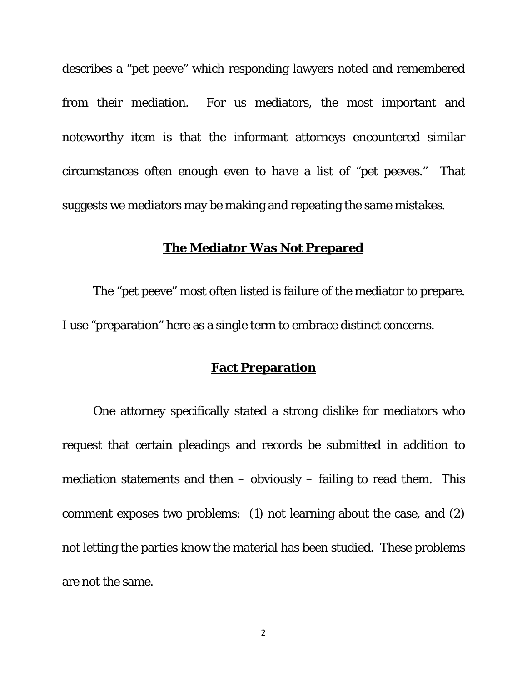describes a "pet peeve" which responding lawyers noted and remembered from their mediation. For us mediators, the most important and noteworthy item is that the informant attorneys encountered similar circumstances often enough even to *have* a list of "pet peeves." That suggests we mediators may be making and repeating the same mistakes.

#### **The Mediator Was Not Prepared**

The "pet peeve" most often listed is failure of the mediator to prepare. I use "preparation" here as a single term to embrace distinct concerns.

### **Fact Preparation**

One attorney specifically stated a strong dislike for mediators who request that certain pleadings and records be submitted in addition to mediation statements and then  $-$  obviously  $-$  failing to read them. This comment exposes two problems: (1) not learning about the case, and (2) not letting the parties know the material has been studied. These problems are not the same.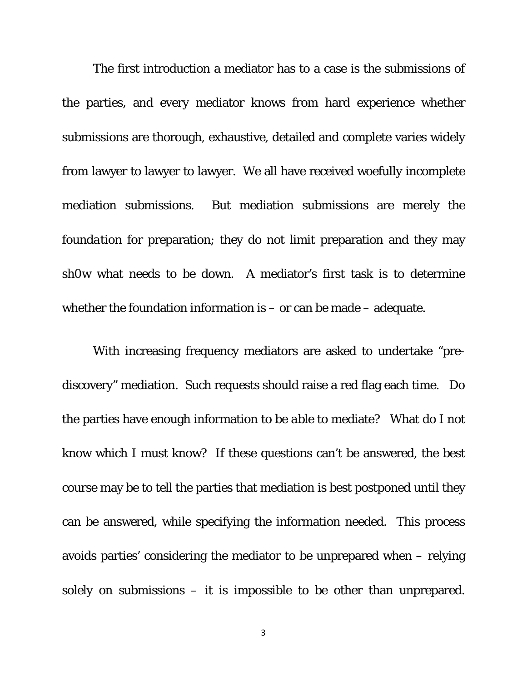The first introduction a mediator has to a case is the submissions of the parties, and every mediator knows from hard experience whether submissions are thorough, exhaustive, detailed and complete varies widely from lawyer to lawyer to lawyer. We all have received woefully incomplete mediation submissions. But mediation submissions are merely the *foundation* for preparation; they do not limit preparation and they may sh0w what needs to be down. A mediator's first task is to determine whether the foundation information is – or can be made – adequate.

With increasing frequency mediators are asked to undertake "prediscovery" mediation. Such requests should raise a red flag each time. Do the parties have enough information to be *able* to mediate? What do I not know which I must know? If these questions can't be answered, the best course may be to tell the parties that mediation is best postponed until they can be answered, while specifying the information needed. This process avoids parties' considering the mediator to be unprepared when – relying solely on submissions – it is impossible to be other than unprepared.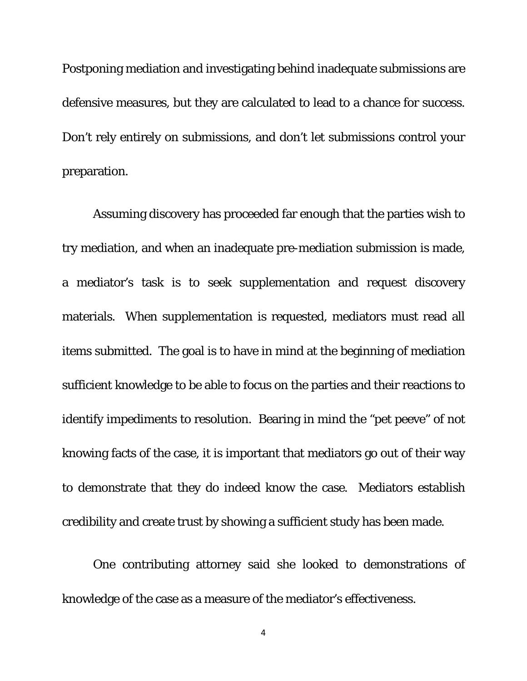Postponing mediation and investigating behind inadequate submissions are defensive measures, but they are calculated to lead to a chance for success. Don't rely entirely on submissions, and don't let submissions control your preparation.

Assuming discovery has proceeded far enough that the parties wish to try mediation, and when an inadequate pre-mediation submission is made, a mediator's task is to seek supplementation and request discovery materials. When supplementation is requested, mediators must read all items submitted. The goal is to have in mind at the beginning of mediation sufficient knowledge to be able to focus on the parties and their reactions to identify impediments to resolution. Bearing in mind the "pet peeve" of not knowing facts of the case, it is important that mediators go out of their way to demonstrate that they do indeed know the case. Mediators establish credibility and create trust by showing a sufficient study has been made.

One contributing attorney said she looked to demonstrations of knowledge of the case as a measure of the mediator's effectiveness.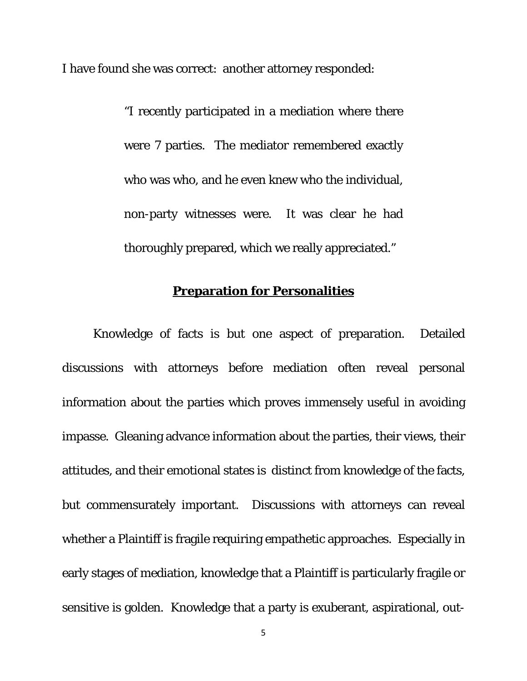I have found she was correct: another attorney responded:

"I recently participated in a mediation where there were 7 parties. The mediator remembered exactly who was who, and he even knew who the individual, non-party witnesses were. It was clear he had thoroughly prepared, which we really appreciated."

# **Preparation for Personalities**

Knowledge of facts is but one aspect of preparation. Detailed discussions with attorneys before mediation often reveal personal information about the parties which proves immensely useful in avoiding impasse. Gleaning advance information about the parties, their views, their attitudes, and their emotional states is distinct from knowledge of the facts, but commensurately important. Discussions with attorneys can reveal whether a Plaintiff is fragile requiring empathetic approaches. Especially in early stages of mediation, knowledge that a Plaintiff is particularly fragile or sensitive is golden. Knowledge that a party is exuberant, aspirational, out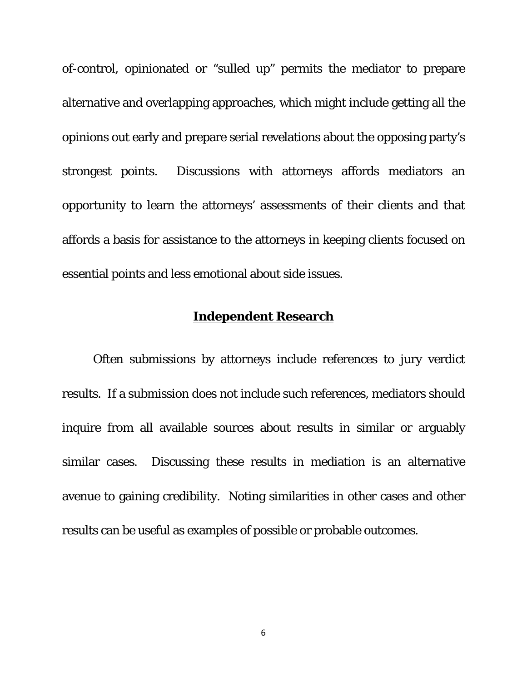of-control, opinionated or "sulled up" permits the mediator to prepare alternative and overlapping approaches, which might include getting all the opinions out early and prepare serial revelations about the opposing party's strongest points. Discussions with attorneys affords mediators an opportunity to learn the attorneys' assessments of their clients and that affords a basis for assistance to the attorneys in keeping clients focused on essential points and less emotional about side issues.

### **Independent Research**

Often submissions by attorneys include references to jury verdict results. If a submission does not include such references, mediators should inquire from all available sources about results in similar or arguably similar cases. Discussing these results in mediation is an alternative avenue to gaining credibility. Noting similarities in other cases and other results can be useful as examples of possible or probable outcomes.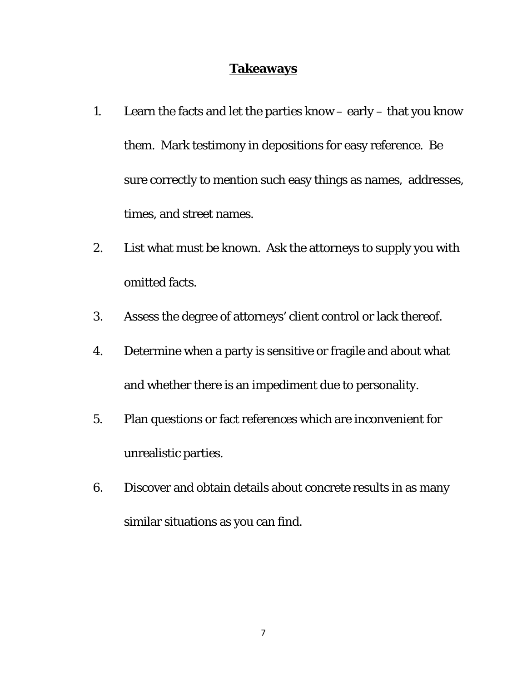## **Takeaways**

- 1. Learn the facts and let the parties know early that you know them. Mark testimony in depositions for easy reference. Be sure correctly to mention such easy things as names, addresses, times, and street names.
- 2. List what must be known. Ask the attorneys to supply you with omitted facts.
- 3. Assess the degree of attorneys' client control or lack thereof.
- 4. Determine when a party is sensitive or fragile and about what and whether there is an impediment due to personality.
- 5. Plan questions or fact references which are inconvenient for unrealistic parties.
- 6. Discover and obtain details about concrete results in as many similar situations as you can find.